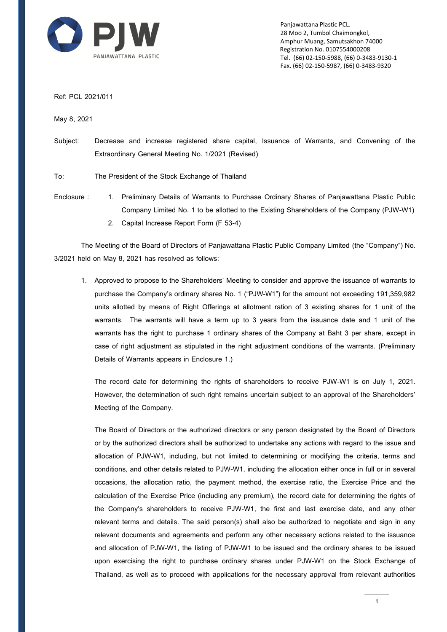

Panjawattana Plastic PCL. 28 Moo 2, Tumbol Chaimongkol, Amphur Muang, Samutsakhon 74000 Registration No. 0107554000208 Tel. (66) 02-150-5988, (66) 0-3483-9130-1 Fax. (66) 02-150-5987, (66) 0-3483-9320

Ref: PCL 2021/011

May 8, 2021

Subject: Decrease and increase registered share capital, Issuance of Warrants, and Convening of the Extraordinary General Meeting No. 1/2021 (Revised)

To: The President of the Stock Exchange of Thailand

- Enclosure : 1. Preliminary Details of Warrants to Purchase Ordinary Shares of Panjawattana Plastic Public Company Limited No. 1 to be allotted to the Existing Shareholders of the Company (PJW-W1)
	- 2. Capital Increase Report Form (F 53-4)

The Meeting of the Board of Directors of Panjawattana Plastic Public Company Limited (the "Company") No. 3/2021 held on May 8, 2021 has resolved as follows:

1. Approved to propose to the Shareholders' Meeting to consider and approve the issuance of warrants to purchase the Company's ordinary shares No. 1 ("PJW-W1") for the amount not exceeding 191,359,982 units allotted by means of Right Offerings at allotment ration of 3 existing shares for 1 unit of the warrants. The warrants will have a term up to 3 years from the issuance date and 1 unit of the warrants has the right to purchase 1 ordinary shares of the Company at Baht 3 per share, except in case of right adjustment as stipulated in the right adjustment conditions of the warrants. (Preliminary Details of Warrants appears in Enclosure 1.)

The record date for determining the rights of shareholders to receive PJW-W1 is on July 1, 2021. However, the determination of such right remains uncertain subject to an approval of the Shareholders' Meeting of the Company.

The Board of Directors or the authorized directors or any person designated by the Board of Directors or by the authorized directors shall be authorized to undertake any actions with regard to the issue and allocation of PJW-W1, including, but not limited to determining or modifying the criteria, terms and conditions, and other details related to PJW-W1, including the allocation either once in full or in several occasions, the allocation ratio, the payment method, the exercise ratio, the Exercise Price and the calculation of the Exercise Price (including any premium), the record date for determining the rights of the Company's shareholders to receive PJW-W1, the first and last exercise date, and any other relevant terms and details. The said person(s) shall also be authorized to negotiate and sign in any relevant documents and agreements and perform any other necessary actions related to the issuance and allocation of PJW-W1, the listing of PJW-W1 to be issued and the ordinary shares to be issued upon exercising the right to purchase ordinary shares under PJW-W1 on the Stock Exchange of Thailand, as well as to proceed with applications for the necessary approval from relevant authorities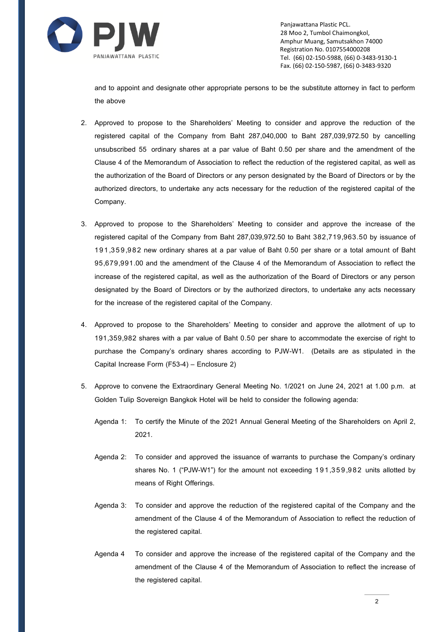

Panjawattana Plastic PCL. 28 Moo 2, Tumbol Chaimongkol, Amphur Muang, Samutsakhon 74000 Registration No. 0107554000208 Tel. (66) 02-150-5988, (66) 0-3483-9130-1 Fax. (66) 02-150-5987, (66) 0-3483-9320

and to appoint and designate other appropriate persons to be the substitute attorney in fact to perform the above

- 2. Approved to propose to the Shareholders' Meeting to consider and approve the reduction of the registered capital of the Company from Baht 287,040,000 to Baht 287,039,972.50 by cancelling unsubscribed 55 ordinary shares at a par value of Baht 0.50 per share and the amendment of the Clause 4 of the Memorandum of Association to reflect the reduction of the registered capital, as well as the authorization of the Board of Directors or any person designated by the Board of Directors or by the authorized directors, to undertake any acts necessary for the reduction of the registered capital of the Company.
- 3. Approved to propose to the Shareholders' Meeting to consider and approve the increase of the registered capital of the Company from Baht 287,039,972.50 to Baht 382,719,963.50 by issuance of 191,359,982 new ordinary shares at a par value of Baht 0.50 per share or a total amount of Baht 95,679,991.00 and the amendment of the Clause 4 of the Memorandum of Association to reflect the increase of the registered capital, as well as the authorization of the Board of Directors or any person designated by the Board of Directors or by the authorized directors, to undertake any acts necessary for the increase of the registered capital of the Company.
- 4. Approved to propose to the Shareholders' Meeting to consider and approve the allotment of up to 191,359,982 shares with a par value of Baht 0.50 per share to accommodate the exercise of right to purchase the Company's ordinary shares according to PJW-W1. (Details are as stipulated in the Capital Increase Form (F53-4) – Enclosure 2)
- 5. Approve to convene the Extraordinary General Meeting No. 1/2021 on June 24, 2021 at 1.00 p.m. at Golden Tulip Sovereign Bangkok Hotel will be held to consider the following agenda:
	- Agenda 1: To certify the Minute of the 2021 Annual General Meeting of the Shareholders on April 2, 2021.
	- Agenda 2: To consider and approved the issuance of warrants to purchase the Company's ordinary shares No. 1 ("PJW-W1") for the amount not exceeding 191,359,982 units allotted by means of Right Offerings.
	- Agenda 3: To consider and approve the reduction of the registered capital of the Company and the amendment of the Clause 4 of the Memorandum of Association to reflect the reduction of the registered capital.
	- Agenda 4 To consider and approve the increase of the registered capital of the Company and the amendment of the Clause 4 of the Memorandum of Association to reflect the increase of the registered capital.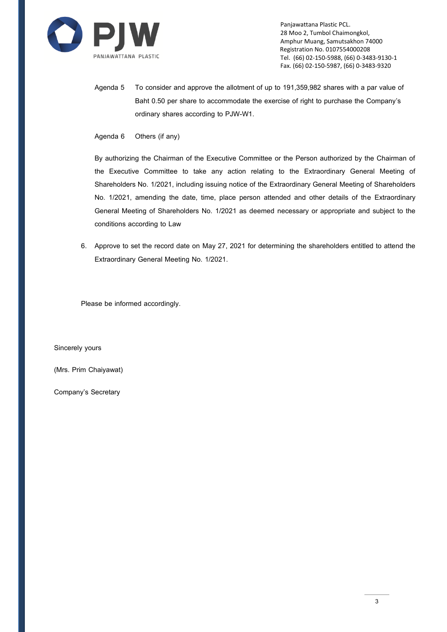

Panjawattana Plastic PCL. 28 Moo 2, Tumbol Chaimongkol, Amphur Muang, Samutsakhon 74000 Registration No. 0107554000208 Tel. (66) 02-150-5988, (66) 0-3483-9130-1 Fax. (66) 02-150-5987, (66) 0-3483-9320

Agenda 5 To consider and approve the allotment of up to 191,359,982 shares with a par value of Baht 0.50 per share to accommodate the exercise of right to purchase the Company's ordinary shares according to PJW-W1.

Agenda 6 Others (if any)

By authorizing the Chairman of the Executive Committee or the Person authorized by the Chairman of the Executive Committee to take any action relating to the Extraordinary General Meeting of Shareholders No. 1/2021, including issuing notice of the Extraordinary General Meeting of Shareholders No. 1/2021, amending the date, time, place person attended and other details of the Extraordinary General Meeting of Shareholders No. 1/2021 as deemed necessary or appropriate and subject to the conditions according to Law

6. Approve to set the record date on May 27, 2021 for determining the shareholders entitled to attend the Extraordinary General Meeting No. 1/2021.

Please be informed accordingly.

Sincerely yours

(Mrs. Prim Chaiyawat)

Company's Secretary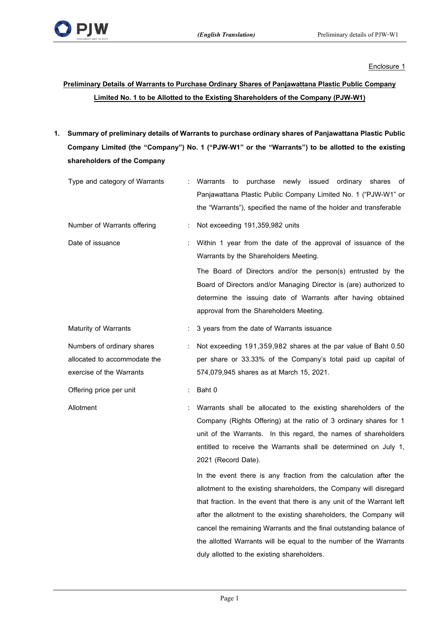

Enclosure 1

# **Preliminary Details of Warrants to Purchase Ordinary Shares of Panjawattana Plastic Public Company Limited No. 1 to be Allotted to the Existing Shareholders of the Company (PJW-W1)**

**1. Summary of preliminary details of Warrants to purchase ordinary shares of Panjawattana Plastic Public Company Limited (the "Company") No. 1 ("PJW-W1" or the "Warrants") to be allotted to the existing shareholders of the Company**

| Type and category of Warrants                                                          |                                                                                                              | newly issued ordinary<br>Warrants<br>to<br>purchase<br>shares<br>οf<br>Panjawattana Plastic Public Company Limited No. 1 ("PJW-W1" or<br>the "Warrants"), specified the name of the holder and transferable                                                                                                                                                                                                                                                                       |  |  |  |  |
|----------------------------------------------------------------------------------------|--------------------------------------------------------------------------------------------------------------|-----------------------------------------------------------------------------------------------------------------------------------------------------------------------------------------------------------------------------------------------------------------------------------------------------------------------------------------------------------------------------------------------------------------------------------------------------------------------------------|--|--|--|--|
| Number of Warrants offering                                                            | t                                                                                                            | Not exceeding 191,359,982 units                                                                                                                                                                                                                                                                                                                                                                                                                                                   |  |  |  |  |
| Date of issuance                                                                       | Within 1 year from the date of the approval of issuance of the<br>÷<br>Warrants by the Shareholders Meeting. |                                                                                                                                                                                                                                                                                                                                                                                                                                                                                   |  |  |  |  |
|                                                                                        |                                                                                                              | The Board of Directors and/or the person(s) entrusted by the<br>Board of Directors and/or Managing Director is (are) authorized to<br>determine the issuing date of Warrants after having obtained<br>approval from the Shareholders Meeting.                                                                                                                                                                                                                                     |  |  |  |  |
| <b>Maturity of Warrants</b>                                                            | ÷                                                                                                            | 3 years from the date of Warrants issuance                                                                                                                                                                                                                                                                                                                                                                                                                                        |  |  |  |  |
| Numbers of ordinary shares<br>allocated to accommodate the<br>exercise of the Warrants |                                                                                                              | Not exceeding 191,359,982 shares at the par value of Baht 0.50<br>per share or 33.33% of the Company's total paid up capital of<br>574,079,945 shares as at March 15, 2021.                                                                                                                                                                                                                                                                                                       |  |  |  |  |
| Offering price per unit                                                                | ÷                                                                                                            | Baht 0                                                                                                                                                                                                                                                                                                                                                                                                                                                                            |  |  |  |  |
| Allotment                                                                              |                                                                                                              | Warrants shall be allocated to the existing shareholders of the<br>Company (Rights Offering) at the ratio of 3 ordinary shares for 1<br>unit of the Warrants. In this regard, the names of shareholders<br>entitled to receive the Warrants shall be determined on July 1,<br>2021 (Record Date).                                                                                                                                                                                 |  |  |  |  |
|                                                                                        |                                                                                                              | In the event there is any fraction from the calculation after the<br>allotment to the existing shareholders, the Company will disregard<br>that fraction. In the event that there is any unit of the Warrant left<br>after the allotment to the existing shareholders, the Company will<br>cancel the remaining Warrants and the final outstanding balance of<br>the allotted Warrants will be equal to the number of the Warrants<br>duly allotted to the existing shareholders. |  |  |  |  |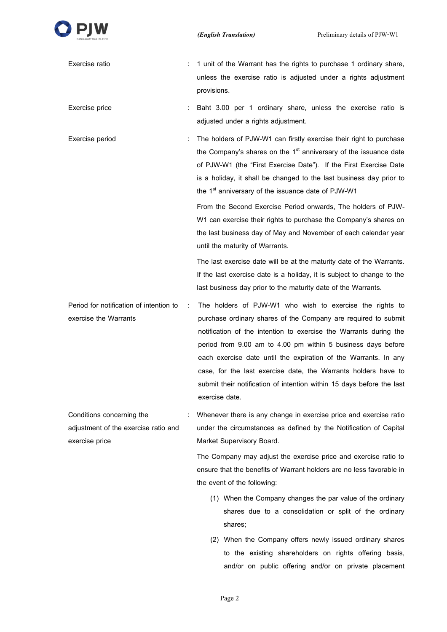| Exercise ratio                                                    |   | 1 unit of the Warrant has the rights to purchase 1 ordinary share,<br>unless the exercise ratio is adjusted under a rights adjustment<br>provisions.                                                                                                                                                                                                                                                                                                                                            |
|-------------------------------------------------------------------|---|-------------------------------------------------------------------------------------------------------------------------------------------------------------------------------------------------------------------------------------------------------------------------------------------------------------------------------------------------------------------------------------------------------------------------------------------------------------------------------------------------|
| Exercise price                                                    |   | Baht 3.00 per 1 ordinary share, unless the exercise ratio is<br>adjusted under a rights adjustment.                                                                                                                                                                                                                                                                                                                                                                                             |
| Exercise period                                                   |   | The holders of PJW-W1 can firstly exercise their right to purchase<br>the Company's shares on the 1 <sup>st</sup> anniversary of the issuance date<br>of PJW-W1 (the "First Exercise Date"). If the First Exercise Date<br>is a holiday, it shall be changed to the last business day prior to<br>the 1 <sup>st</sup> anniversary of the issuance date of PJW-W1                                                                                                                                |
|                                                                   |   | From the Second Exercise Period onwards, The holders of PJW-<br>W1 can exercise their rights to purchase the Company's shares on<br>the last business day of May and November of each calendar year<br>until the maturity of Warrants.                                                                                                                                                                                                                                                          |
|                                                                   |   | The last exercise date will be at the maturity date of the Warrants.<br>If the last exercise date is a holiday, it is subject to change to the<br>last business day prior to the maturity date of the Warrants.                                                                                                                                                                                                                                                                                 |
| Period for notification of intention to<br>exercise the Warrants  | ÷ | The holders of PJW-W1 who wish to exercise the rights to<br>purchase ordinary shares of the Company are required to submit<br>notification of the intention to exercise the Warrants during the<br>period from 9.00 am to 4.00 pm within 5 business days before<br>each exercise date until the expiration of the Warrants. In any<br>case, for the last exercise date, the Warrants holders have to<br>submit their notification of intention within 15 days before the last<br>exercise date. |
| Conditions concerning the<br>adjustment of the exercise ratio and |   | Whenever there is any change in exercise price and exercise ratio<br>under the circumstances as defined by the Notification of Capital                                                                                                                                                                                                                                                                                                                                                          |
| exercise price                                                    |   | Market Supervisory Board.                                                                                                                                                                                                                                                                                                                                                                                                                                                                       |
|                                                                   |   | The Company may adjust the exercise price and exercise ratio to<br>ensure that the benefits of Warrant holders are no less favorable in<br>the event of the following:                                                                                                                                                                                                                                                                                                                          |
|                                                                   |   | (1) When the Company changes the par value of the ordinary<br>shares due to a consolidation or split of the ordinary<br>shares;                                                                                                                                                                                                                                                                                                                                                                 |
|                                                                   |   | (2) When the Company offers newly issued ordinary shares<br>to the existing shareholders on rights offering basis,                                                                                                                                                                                                                                                                                                                                                                              |

and/or on public offering and/or on private placement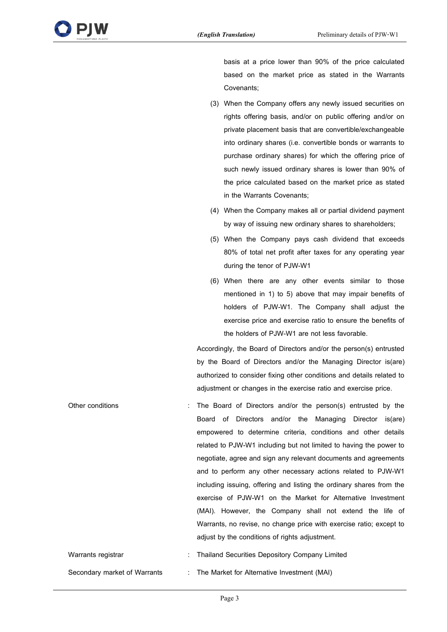

basis at a price lower than 90% of the price calculated based on the market price as stated in the Warrants Covenants;

- (3) When the Company offers any newly issued securities on rights offering basis, and/or on public offering and/or on private placement basis that are convertible/exchangeable into ordinary shares (i.e. convertible bonds or warrants to purchase ordinary shares) for which the offering price of such newly issued ordinary shares is lower than 90% of the price calculated based on the market price as stated in the Warrants Covenants;
- (4) When the Company makes all or partial dividend payment by way of issuing new ordinary shares to shareholders;
- (5) When the Company pays cash dividend that exceeds 80% of total net profit after taxes for any operating year during the tenor of PJW-W1
- (6) When there are any other events similar to those mentioned in 1) to 5) above that may impair benefits of holders of PJW-W1. The Company shall adjust the exercise price and exercise ratio to ensure the benefits of the holders of PJW-W1 are not less favorable.

Accordingly, the Board of Directors and/or the person(s) entrusted by the Board of Directors and/or the Managing Director is(are) authorized to consider fixing other conditions and details related to adjustment or changes in the exercise ratio and exercise price.

Other conditions : The Board of Directors and/or the person(s) entrusted by the Board of Directors and/or the Managing Director is(are) empowered to determine criteria, conditions and other details related to PJW-W1 including but not limited to having the power to negotiate, agree and sign any relevant documents and agreements and to perform any other necessary actions related to PJW-W1 including issuing, offering and listing the ordinary shares from the exercise of PJW-W1 on the Market for Alternative Investment (MAI). However, the Company shall not extend the life of Warrants, no revise, no change price with exercise ratio; except to adjust by the conditions of rights adjustment. Warrants registrar **in the Company Company Company Limited** : Thailand Securities Depository Company Limited

Secondary market of Warrants : The Market for Alternative Investment (MAI)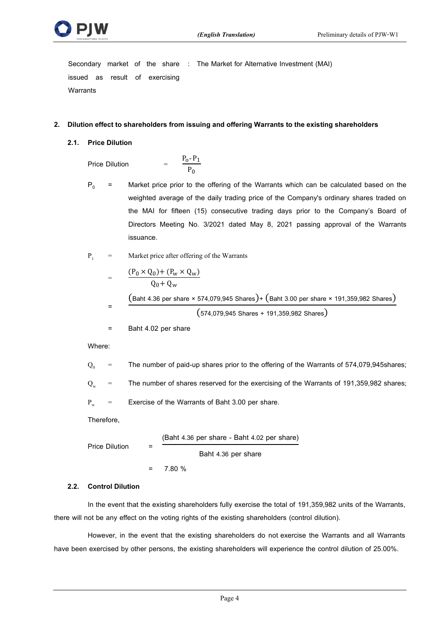

Secondary market of the share : The Market for Alternative Investment (MAI) issued as result of exercising **Warrants** 

#### **2. Dilution effect to shareholders from issuing and offering Warrants to the existing shareholders**

**2.1. Price Dilution**

Price Dilution

$$
\frac{P_0 - P_1}{P_0}
$$

 $P_0$  = Market price prior to the offering of the Warrants which can be calculated based on the weighted average of the daily trading price of the Company's ordinary shares traded on the MAI for fifteen (15) consecutive trading days prior to the Company's Board of Directors Meeting No. 3/2021 dated May 8, 2021 passing approval of the Warrants issuance.

 $P_1$  = Market price after offering of the Warrants

$$
= \frac{(P_0 \times Q_0) + (P_w \times Q_w)}{Q_0 + Q_w}
$$
  
=\frac{(Baht 4.36 per share × 574,079,945 Shares) + (Baht 3.00 per share × 191,359,982 Shares)}{(574,079,945 Shares + 191,359,982 Shares)}

= Baht 4.02 per share

Where:

 $Q_0$  = The number of paid-up shares prior to the offering of the Warrants of 574,079,945shares;

 $Q_w$  = The number of shares reserved for the exercising of the Warrants of 191,359,982 shares;

 $P_w$  = Exercise of the Warrants of Baht 3.00 per share.

Therefore,

Price Dilution

\n
$$
= \frac{(Baht 4.36 \text{ per share - Baht 4.02 per share})}{Baht 4.36 \text{ per share}}
$$
\n
$$
= 7.80 \%
$$

#### **2.2. Control Dilution**

In the event that the existing shareholders fully exercise the total of 191,359,982 units of the Warrants, there will not be any effect on the voting rights of the existing shareholders (control dilution).

However, in the event that the existing shareholders do not exercise the Warrants and all Warrants have been exercised by other persons, the existing shareholders will experience the control dilution of 25.00%.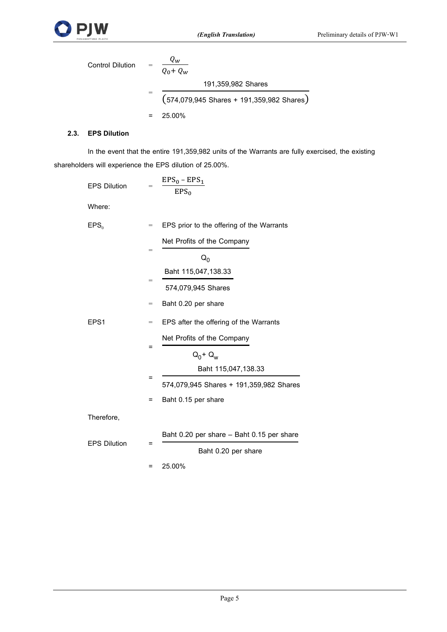

| <b>Control Dilution</b> | $Q_W$<br>$Q_0 + Q_w$                        |
|-------------------------|---------------------------------------------|
|                         | 191,359,982 Shares                          |
|                         | $(574,079,945$ Shares + 191,359,982 Shares) |
|                         | 25.00%                                      |

### **2.3. EPS Dilution**

In the event that the entire 191,359,982 units of the Warrants are fully exercised, the existing shareholders will experience the EPS dilution of 25.00%.

| <b>EPS Dilution</b> | $=$ | $EPS_0 - EPS_1$<br>$EPS_0$                |  |
|---------------------|-----|-------------------------------------------|--|
| Where:              |     |                                           |  |
| EPS <sub>0</sub>    | $=$ | EPS prior to the offering of the Warrants |  |
|                     |     | Net Profits of the Company                |  |
|                     | =   | $Q_0$                                     |  |
|                     |     | Baht 115,047,138.33                       |  |
|                     | $=$ | 574,079,945 Shares                        |  |
|                     | $=$ | Baht 0.20 per share                       |  |
| EPS <sub>1</sub>    | $=$ | EPS after the offering of the Warrants    |  |
| Ξ                   |     | Net Profits of the Company                |  |
|                     |     | $Q_0 + Q_w$                               |  |
|                     |     | Baht 115,047,138.33                       |  |
|                     | Ξ   | 574,079,945 Shares + 191,359,982 Shares   |  |
|                     | Ξ   | Baht 0.15 per share                       |  |
| Therefore,          |     |                                           |  |
|                     |     | Baht 0.20 per share - Baht 0.15 per share |  |
| <b>EPS Dilution</b> | =   | Baht 0.20 per share                       |  |
|                     | Ξ   | 25.00%                                    |  |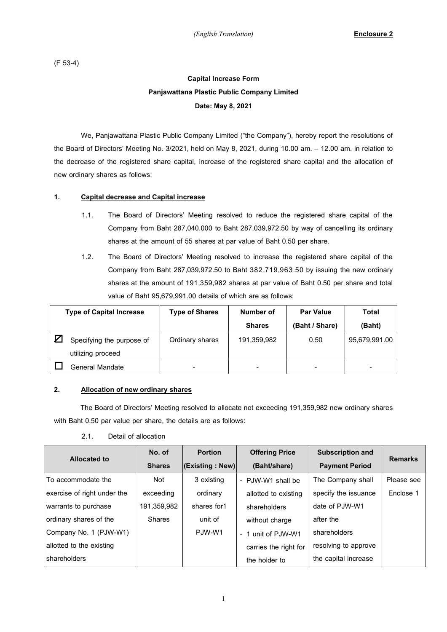(F 53-4)

# **Capital Increase Form Panjawattana Plastic Public Company Limited Date: May 8, 2021**

We, Panjawattana Plastic Public Company Limited ("the Company"), hereby report the resolutions of the Board of Directors' Meeting No. 3/2021, held on May 8, 2021, during 10.00 am. – 12.00 am. in relation to the decrease of the registered share capital, increase of the registered share capital and the allocation of new ordinary shares as follows:

### **1. Capital decrease and Capital increase**

- 1.1. The Board of Directors' Meeting resolved to reduce the registered share capital of the Company from Baht 287,040,000 to Baht 287,039,972.50 by way of cancelling its ordinary shares at the amount of 55 shares at par value of Baht 0.50 per share.
- 1.2. The Board of Directors' Meeting resolved to increase the registered share capital of the Company from Baht 287,039,972.50 to Baht 382,719,963.50 by issuing the new ordinary shares at the amount of 191,359,982 shares at par value of Baht 0.50 per share and total value of Baht 95,679,991.00 details of which are as follows:

| <b>Type of Capital Increase</b> |                           | <b>Type of Shares</b> | Number of     | <b>Par Value</b> | Total         |
|---------------------------------|---------------------------|-----------------------|---------------|------------------|---------------|
|                                 |                           |                       | <b>Shares</b> | (Baht / Share)   | (Baht)        |
|                                 | Specifying the purpose of | Ordinary shares       | 191,359,982   | 0.50             | 95,679,991.00 |
|                                 | utilizing proceed         |                       |               |                  |               |
|                                 | General Mandate           | -                     | -             |                  |               |

### **2. Allocation of new ordinary shares**

The Board of Directors' Meeting resolved to allocate not exceeding 191,359,982 new ordinary shares with Baht 0.50 par value per share, the details are as follows:

| 2.1. | Detail of allocation |
|------|----------------------|
|      |                      |

| <b>Allocated to</b>         | No. of        | <b>Portion</b>  | <b>Offering Price</b> | <b>Subscription and</b> | <b>Remarks</b> |  |
|-----------------------------|---------------|-----------------|-----------------------|-------------------------|----------------|--|
| <b>Shares</b>               |               | (Existing: New) | (Baht/share)          | <b>Payment Period</b>   |                |  |
| To accommodate the          | <b>Not</b>    | 3 existing      | - PJW-W1 shall be     | The Company shall       | Please see     |  |
| exercise of right under the | exceeding     | ordinary        | allotted to existing  | specify the issuance    | Enclose 1      |  |
| warrants to purchase        | 191.359.982   | shares for1     | shareholders          | date of PJW-W1          |                |  |
| ordinary shares of the      | <b>Shares</b> | unit of         | without charge        | after the               |                |  |
| Company No. 1 (PJW-W1)      |               | PJW-W1          | - 1 unit of PJW-W1    | shareholders            |                |  |
| allotted to the existing    |               |                 | carries the right for | resolving to approve    |                |  |
| shareholders                |               |                 | the holder to         | the capital increase    |                |  |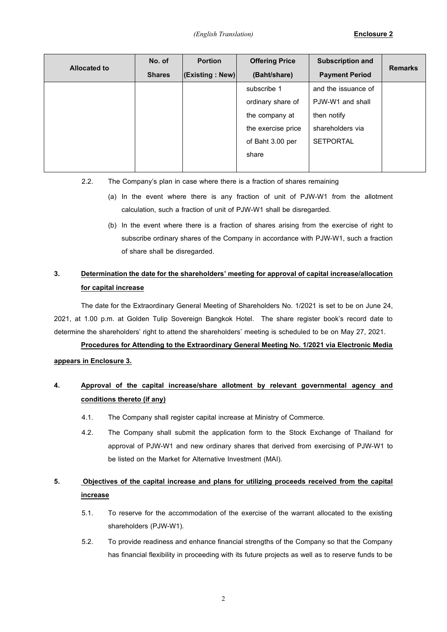| <b>Allocated to</b> | No. of        | <b>Portion</b>  | <b>Offering Price</b> | <b>Subscription and</b> | <b>Remarks</b> |  |
|---------------------|---------------|-----------------|-----------------------|-------------------------|----------------|--|
|                     | <b>Shares</b> | (Existing: New) | (Baht/share)          | <b>Payment Period</b>   |                |  |
|                     |               |                 | subscribe 1           | and the issuance of     |                |  |
|                     |               |                 | ordinary share of     | PJW-W1 and shall        |                |  |
|                     |               |                 | the company at        | then notify             |                |  |
|                     |               |                 | the exercise price    | shareholders via        |                |  |
|                     |               |                 | of Baht 3.00 per      | <b>SETPORTAL</b>        |                |  |
|                     |               |                 | share                 |                         |                |  |
|                     |               |                 |                       |                         |                |  |

- 2.2. The Company's plan in case where there is a fraction of shares remaining
	- (a) In the event where there is any fraction of unit of PJW-W1 from the allotment calculation, such a fraction of unit of PJW-W1 shall be disregarded.
	- (b) In the event where there is a fraction of shares arising from the exercise of right to subscribe ordinary shares of the Company in accordance with PJW-W1, such a fraction of share shall be disregarded.

# **3. Determination the date for the shareholders' meeting for approval of capital increase/allocation for capital increase**

The date for the Extraordinary General Meeting of Shareholders No. 1/2021 is set to be on June 24, 2021, at 1.00 p.m. at Golden Tulip Sovereign Bangkok Hotel. The share register book's record date to determine the shareholders' right to attend the shareholders' meeting is scheduled to be on May 27, 2021.

**Procedures for Attending to the Extraordinary General Meeting No. 1/2021 via Electronic Media appears in Enclosure 3.**

# **4. Approval of the capital increase/share allotment by relevant governmental agency and conditions thereto (if any)**

- 4.1. The Company shall register capital increase at Ministry of Commerce.
- 4.2. The Company shall submit the application form to the Stock Exchange of Thailand for approval of PJW-W1 and new ordinary shares that derived from exercising of PJW-W1 to be listed on the Market for Alternative Investment (MAI).

# **5. Objectives of the capital increase and plans for utilizing proceeds received from the capital increase**

- 5.1. To reserve for the accommodation of the exercise of the warrant allocated to the existing shareholders (PJW-W1).
- 5.2. To provide readiness and enhance financial strengths of the Company so that the Company has financial flexibility in proceeding with its future projects as well as to reserve funds to be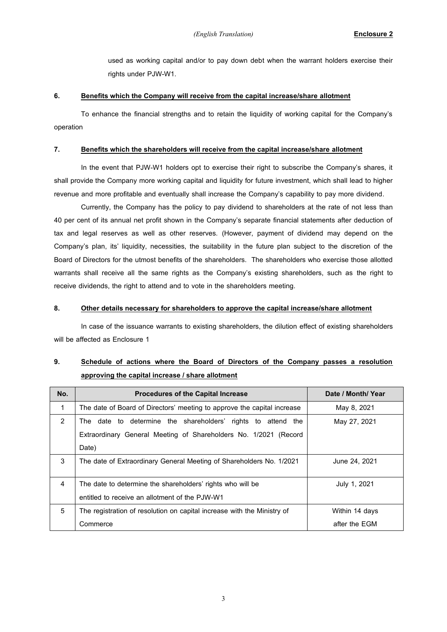used as working capital and/or to pay down debt when the warrant holders exercise their rights under PJW-W1.

#### **6. Benefits which the Company will receive from the capital increase/share allotment**

To enhance the financial strengths and to retain the liquidity of working capital for the Company's operation

#### **7. Benefits which the shareholders will receive from the capital increase/share allotment**

In the event that PJW-W1 holders opt to exercise their right to subscribe the Company's shares, it shall provide the Company more working capital and liquidity for future investment, which shall lead to higher revenue and more profitable and eventually shall increase the Company's capability to pay more dividend.

Currently, the Company has the policy to pay dividend to shareholders at the rate of not less than 40 per cent of its annual net profit shown in the Company's separate financial statements after deduction of tax and legal reserves as well as other reserves. (However, payment of dividend may depend on the Company's plan, its' liquidity, necessities, the suitability in the future plan subject to the discretion of the Board of Directors for the utmost benefits of the shareholders. The shareholders who exercise those allotted warrants shall receive all the same rights as the Company's existing shareholders, such as the right to receive dividends, the right to attend and to vote in the shareholders meeting.

#### **8. Other details necessary for shareholders to approve the capital increase/share allotment**

In case of the issuance warrants to existing shareholders, the dilution effect of existing shareholders will be affected as Enclosure 1

### **9. Schedule of actions where the Board of Directors of the Company passes a resolution approving the capital increase / share allotment**

| No. | <b>Procedures of the Capital Increase</b>                                  | Date / Month/ Year |  |  |
|-----|----------------------------------------------------------------------------|--------------------|--|--|
| 1   | The date of Board of Directors' meeting to approve the capital increase    | May 8, 2021        |  |  |
| 2   | The date to determine the shareholders' rights to attend the               | May 27, 2021       |  |  |
|     | Extraordinary General Meeting of Shareholders No. 1/2021 (Record           |                    |  |  |
|     | Date)                                                                      |                    |  |  |
| 3   | The date of Extraordinary General Meeting of Shareholders No. 1/2021       | June 24, 2021      |  |  |
|     |                                                                            |                    |  |  |
| 4   | The date to determine the shareholders' rights who will be<br>July 1, 2021 |                    |  |  |
|     | entitled to receive an allotment of the PJW-W1                             |                    |  |  |
| 5   | The registration of resolution on capital increase with the Ministry of    | Within 14 days     |  |  |
|     | Commerce                                                                   | after the EGM      |  |  |